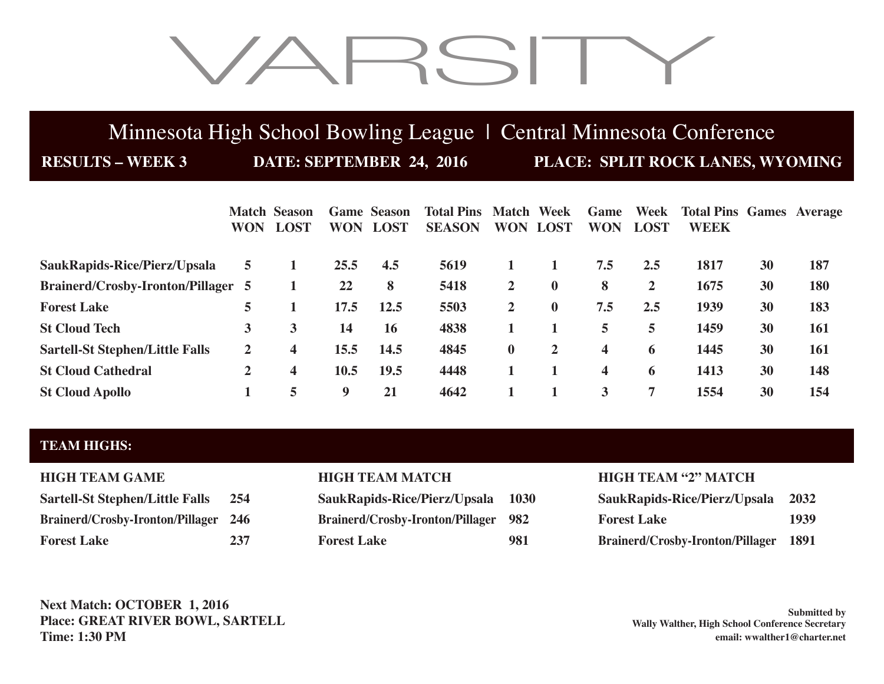# VARSITY

## Minnesota High School Bowling League | Central Minnesota Conference

**RESULTS – WEEK 3 DATE: SEPTEMBER 24, 2016 PLACE: SPLIT ROCK LANES, WYOMING**

|                                           | <b>WON</b>     | <b>Match Season</b><br><b>LOST</b> | <b>WON</b> | <b>Game Season</b><br><b>LOST</b> | <b>Total Pins Match Week</b><br><b>SEASON</b> | <b>WON</b>   | <b>LOST</b>  | Game<br><b>WON</b> | Week<br><b>LOST</b> | <b>Total Pins Games Average</b><br><b>WEEK</b> |    |            |
|-------------------------------------------|----------------|------------------------------------|------------|-----------------------------------|-----------------------------------------------|--------------|--------------|--------------------|---------------------|------------------------------------------------|----|------------|
| SaukRapids-Rice/Pierz/Upsala              | 5.             |                                    | 25.5       | 4.5                               | 5619                                          |              |              | 7.5                | 2.5                 | 1817                                           | 30 | 187        |
| <b>Brainerd/Crosby-Ironton/Pillager 5</b> |                |                                    | 22         | 8                                 | 5418                                          | $\mathbf{2}$ | $\mathbf 0$  | 8                  | $\mathbf{2}$        | 1675                                           | 30 | <b>180</b> |
| <b>Forest Lake</b>                        | 5              |                                    | 17.5       | 12.5                              | 5503                                          | $\mathbf{2}$ | $\mathbf{0}$ | 7.5                | 2.5                 | 1939                                           | 30 | 183        |
| <b>St Cloud Tech</b>                      | 3              | 3                                  | 14         | 16                                | 4838                                          |              |              | 5                  | 5.                  | 1459                                           | 30 | 161        |
| <b>Sartell-St Stephen/Little Falls</b>    | $\overline{2}$ | 4                                  | 15.5       | 14.5                              | 4845                                          | $\bf{0}$     | $\mathbf{2}$ | $\boldsymbol{4}$   | 6                   | 1445                                           | 30 | 161        |
| <b>St Cloud Cathedral</b>                 | 2              | 4                                  | 10.5       | 19.5                              | 4448                                          |              |              | $\boldsymbol{4}$   | 6                   | 1413                                           | 30 | 148        |
| <b>St Cloud Apollo</b>                    |                | 5                                  | 9          | 21                                | 4642                                          |              |              | 3                  |                     | 1554                                           | 30 | 154        |

### **TEAM HIGHS:**

| <b>HIGH TEAM GAME</b>                      |    |
|--------------------------------------------|----|
| <b>Sartell-St Stephen/Little Falls</b>     | 2! |
| <b>Brainerd/Crosby-Ironton/Pillager 24</b> |    |
|                                            |    |

**Sartell-St Stephen/Little Falls 254 SaukRapids-Rice/Pierz/Upsala 1030 SaukRapids-Rice/Pierz/Upsala 2032 86 Brainerd/Crosby-Ironton/Pillager 982 Forest Lake 237 Forest Lake 981 Brainerd/Crosby-Ironton/Pillager 1891**

## **HIGH TEAM MATCH HIGH TEAM "2" MATCH**

| SaukRapids-Rice/Pierz/Upsala 2032            |      |
|----------------------------------------------|------|
| <b>Forest Lake</b>                           | 1939 |
| <b>Brainerd/Crosby-Ironton/Pillager 1891</b> |      |

**Next Match: OCTOBER 1, 2016 Place: GREAT RIVER BOWL, SARTELL Time: 1:30 PM**